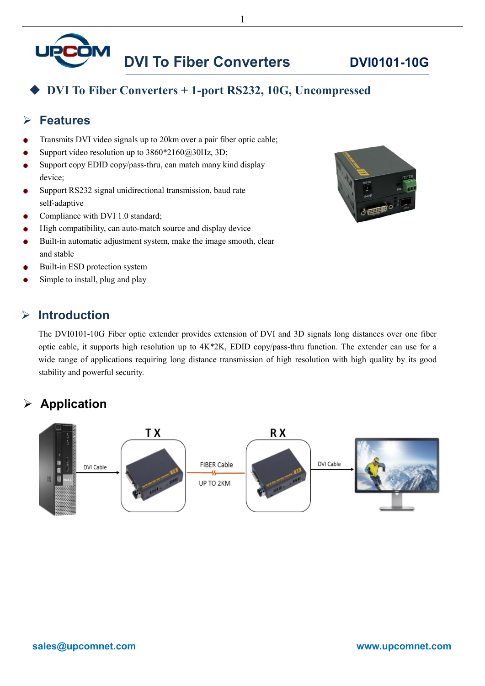

### **DVI To Fiber Converters + 1-port RS232, 10G, Uncompressed**

#### **Features**

- Transmits DVI video signals up to 20km over a pair fiber optic cable;
- Support video resolution up to  $3860*2160@30Hz$ , 3D;
- Support copy EDID copy/pass-thru, can match many kind display device;
- Support RS232 signal unidirectional transmission, baud rate self-adaptive
- Compliance with DVI 1.0 standard;
- High compatibility, can auto-match source and display device
- Built-in automatic adjustment system, make the image smooth, clear and stable
- Built-in ESD protection system
- Simple to install, plug and play

#### **Introduction**

The DVI0101-10G Fiber optic extender provides extension of DVI and 3D signals long distances over one fiber optic cable, it supports high resolution up to 4K\*2K, EDID copy/pass-thru function. The extender can use for a wide range of applications requiring long distance transmission of high resolution with high quality by its good stability and powerful security.

#### **Application**





1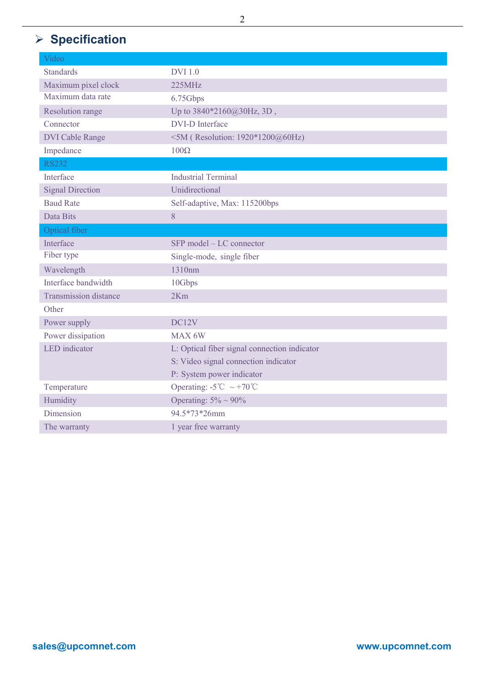# **Specification**

| Video                        |                                                |
|------------------------------|------------------------------------------------|
| <b>Standards</b>             | <b>DVI</b> 1.0                                 |
| Maximum pixel clock          | 225MHz                                         |
| Maximum data rate            | 6.75Gbps                                       |
| <b>Resolution range</b>      | Up to $3840*2160@30Hz$ , 3D,                   |
| Connector                    | <b>DVI-D</b> Interface                         |
| <b>DVI Cable Range</b>       | <5M (Resolution: 1920*1200@60Hz)               |
| Impedance                    | $100\Omega$                                    |
| <b>RS232</b>                 |                                                |
| Interface                    | <b>Industrial Terminal</b>                     |
| <b>Signal Direction</b>      | Unidirectional                                 |
| <b>Baud Rate</b>             | Self-adaptive, Max: 115200bps                  |
| Data Bits                    | 8                                              |
| Optical fiber                |                                                |
| Interface                    | SFP model – LC connector                       |
| Fiber type                   | Single-mode, single fiber                      |
| Wavelength                   | 1310nm                                         |
| Interface bandwidth          | 10Gbps                                         |
| <b>Transmission distance</b> | 2Km                                            |
| Other                        |                                                |
| Power supply                 | DC12V                                          |
| Power dissipation            | MAX 6W                                         |
| <b>LED</b> indicator         | L: Optical fiber signal connection indicator   |
|                              | S: Video signal connection indicator           |
|                              | P: System power indicator                      |
| Temperature                  | Operating: $-5^{\circ}$ C ~ +70 <sup>°</sup> C |
| Humidity                     | Operating: $5\% \sim 90\%$                     |
| Dimension                    | 94.5*73*26mm                                   |
| The warranty                 | 1 year free warranty                           |